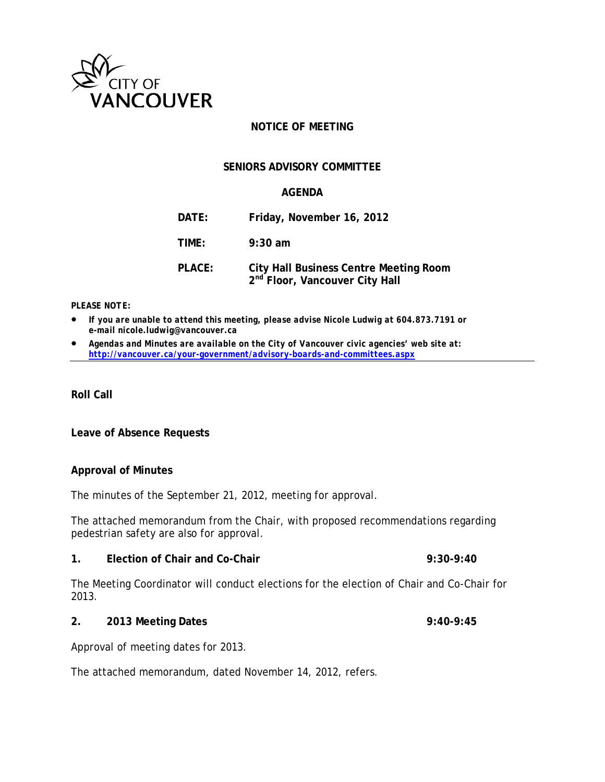

# **NOTICE OF MEETING**

# **SENIORS ADVISORY COMMITTEE**

# **AGENDA**

| DATE:         | Friday, November 16, 2012                                                                   |
|---------------|---------------------------------------------------------------------------------------------|
| TIME:         | $9:30$ am                                                                                   |
| <b>PLACE:</b> | <b>City Hall Business Centre Meeting Room</b><br>2 <sup>nd</sup> Floor, Vancouver City Hall |

#### *PLEASE NOTE:*

- *If you are unable to attend this meeting, please advise Nicole Ludwig at 604.873.7191 or e-mail nicole.ludwig@vancouver.ca*
- *Agendas and Minutes are available on the City of Vancouver civic agencies' web site at: <http://vancouver.ca/your-government/advisory-boards-and-committees.aspx>*

**Roll Call**

**Leave of Absence Requests**

### **Approval of Minutes**

The minutes of the September 21, 2012, meeting for approval.

The attached memorandum from the Chair, with proposed recommendations regarding pedestrian safety are also for approval.

### **1. Election of Chair and Co-Chair 9:30-9:40**

The Meeting Coordinator will conduct elections for the election of Chair and Co-Chair for 2013.

#### **2. 2013 Meeting Dates 9:40-9:45**

Approval of meeting dates for 2013.

The attached memorandum, dated November 14, 2012, refers.